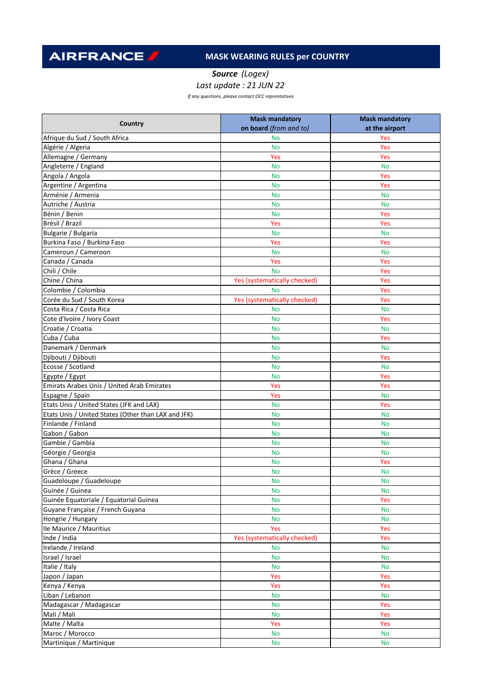**AIRFRANCE** 

## **MASK WEARING RULES per COUNTRY**

*Source (Logex)*

*Last update : 21 JUN 22*

*If any questions, please contact OCC reprentatives*

| Country                                             | <b>Mask mandatory</b>        | <b>Mask mandatory</b> |
|-----------------------------------------------------|------------------------------|-----------------------|
|                                                     | on board (from and to)       | at the airport        |
| Afrique du Sud / South Africa                       | <b>No</b>                    | Yes                   |
| Algérie / Algeria                                   | <b>No</b>                    | Yes                   |
| Allemagne / Germany                                 | Yes                          | Yes                   |
| Angleterre / England                                | <b>No</b>                    | <b>No</b>             |
| Angola / Angola                                     | <b>No</b>                    | Yes                   |
| Argentine / Argentina                               | <b>No</b>                    | Yes                   |
| Arménie / Armenia                                   | <b>No</b>                    | <b>No</b>             |
| Autriche / Austria                                  | <b>No</b>                    | <b>No</b>             |
| Bénin / Benin                                       | <b>No</b>                    | Yes                   |
| Brésil / Brazil                                     | Yes                          | Yes                   |
| Bulgarie / Bulgaria                                 | <b>No</b>                    | <b>No</b>             |
| Burkina Faso / Burkina Faso                         | Yes                          | Yes                   |
| Cameroun / Cameroon                                 | <b>No</b>                    | <b>No</b>             |
| Canada / Canada                                     | Yes                          | Yes                   |
| Chili / Chile                                       | <b>No</b>                    | Yes                   |
| Chine / China                                       | Yes (systematically checked) | Yes                   |
| Colombie / Colombia                                 | <b>No</b>                    | Yes                   |
| Corée du Sud / South Korea                          | Yes (systematically checked) | Yes                   |
| Costa Rica / Costa Rica                             | <b>No</b>                    | <b>No</b>             |
| Cote d'Ivoire / Ivory Coast                         | <b>No</b>                    | Yes                   |
| Croatie / Croatia                                   | <b>No</b>                    | <b>No</b>             |
| Cuba / Cuba                                         | <b>No</b>                    | Yes                   |
| Danemark / Denmark                                  | <b>No</b>                    | <b>No</b>             |
| Djibouti / Djibouti                                 | <b>No</b>                    | Yes                   |
| Ecosse / Scotland                                   | <b>No</b>                    | <b>No</b>             |
| Egypte / Egypt                                      | <b>No</b>                    | Yes                   |
| Emirats Arabes Unis / United Arab Emirates          | Yes                          | Yes                   |
| Espagne / Spain                                     | Yes                          | <b>No</b>             |
| Etats Unis / United States (JFK and LAX)            | <b>No</b>                    | Yes                   |
| Etats Unis / United States (Other than LAX and JFK) | <b>No</b>                    | <b>No</b>             |
| Finlande / Finland                                  | <b>No</b>                    | <b>No</b>             |
| Gabon / Gabon                                       | <b>No</b>                    | <b>No</b>             |
| Gambie / Gambia                                     | <b>No</b>                    | <b>No</b>             |
| Géorgie / Georgia                                   | <b>No</b>                    | <b>No</b>             |
| Ghana / Ghana                                       | <b>No</b>                    | Yes                   |
| Grèce / Greece                                      | <b>No</b>                    | <b>No</b>             |
| Guadeloupe / Guadeloupe                             | <b>No</b>                    | <b>No</b>             |
| Guinée / Guinea                                     | <b>No</b>                    | <b>No</b>             |
| Guinée Equatoriale / Equatorial Guinea              | <b>No</b>                    | Yes                   |
| Guyane Française / French Guyana                    | <b>No</b>                    | <b>No</b>             |
| Hongrie / Hungary                                   | <b>No</b>                    | <b>No</b>             |
| Ile Maurice / Mauritius                             | Yes                          | Yes                   |
| Inde / India                                        | Yes (systematically checked) | Yes                   |
| Irelande / Ireland                                  | <b>No</b>                    | <b>No</b>             |
| Israel / Israel                                     | <b>No</b>                    | <b>No</b>             |
| Italie / Italy                                      | <b>No</b>                    | <b>No</b>             |
| Japon / Japan                                       | Yes                          | Yes                   |
| Kenya / Kenya                                       | Yes                          | Yes                   |
| Liban / Lebanon                                     | <b>No</b>                    | <b>No</b>             |
| Madagascar / Madagascar                             | <b>No</b>                    | Yes                   |
| Mali / Mali                                         | <b>No</b>                    | Yes                   |
| Malte / Malta                                       | Yes                          | Yes                   |
| Maroc / Morocco                                     | <b>No</b>                    | <b>No</b>             |
|                                                     |                              |                       |